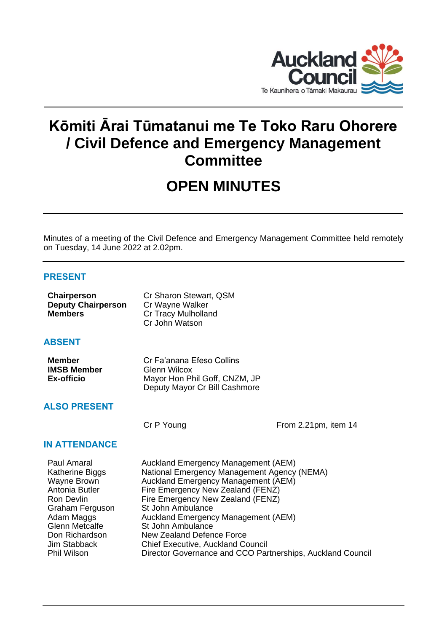

# **Kōmiti Ārai Tūmatanui me Te Toko Raru Ohorere / Civil Defence and Emergency Management Committee**

# **OPEN MINUTES**

Minutes of a meeting of the Civil Defence and Emergency Management Committee held remotely on Tuesday, 14 June 2022 at 2.02pm.

# **PRESENT**

| Chairperson               | Cr Sharon Stewart, QSM |
|---------------------------|------------------------|
| <b>Deputy Chairperson</b> | Cr Wayne Walker        |
| <b>Members</b>            | Cr Tracy Mulholland    |
|                           | Cr John Watson         |

# **ABSENT**

| <b>Member</b>      | Cr Fa'anana Efeso Collins     |
|--------------------|-------------------------------|
| <b>IMSB Member</b> | Glenn Wilcox                  |
| Ex-officio         | Mayor Hon Phil Goff, CNZM, JP |
|                    | Deputy Mayor Cr Bill Cashmore |

# **ALSO PRESENT**

Cr P Young From 2.21pm, item 14

# **IN ATTENDANCE**

| Paul Amaral           | Auckland Emergency Management (AEM)                        |
|-----------------------|------------------------------------------------------------|
| Katherine Biggs       | National Emergency Management Agency (NEMA)                |
| Wayne Brown           | Auckland Emergency Management (AEM)                        |
| Antonia Butler        | Fire Emergency New Zealand (FENZ)                          |
| Ron Devlin            | Fire Emergency New Zealand (FENZ)                          |
| Graham Ferguson       | St John Ambulance                                          |
| Adam Maggs            | Auckland Emergency Management (AEM)                        |
| <b>Glenn Metcalfe</b> | St John Ambulance                                          |
| Don Richardson        | New Zealand Defence Force                                  |
| Jim Stabback          | <b>Chief Executive, Auckland Council</b>                   |
| <b>Phil Wilson</b>    | Director Governance and CCO Partnerships, Auckland Council |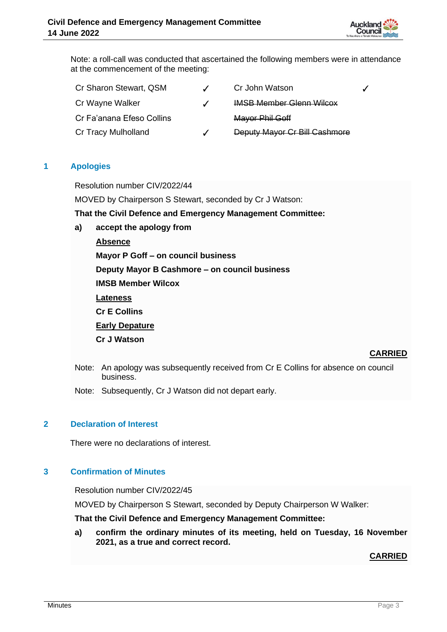

Note: a roll-call was conducted that ascertained the following members were in attendance at the commencement of the meeting:

| Cr Sharon Stewart, QSM    |                          | Cr John Watson                  |  |
|---------------------------|--------------------------|---------------------------------|--|
| Cr Wayne Walker           | $\overline{\mathcal{L}}$ | <b>IMSB Member Glenn Wilcox</b> |  |
| Cr Fa'anana Efeso Collins |                          | Mayor Phil Goff                 |  |
| Cr Tracy Mulholland       |                          | Deputy Mayor Cr Bill Cashmore   |  |

## **1 Apologies**

Resolution number CIV/2022/44

MOVED by Chairperson S Stewart, seconded by Cr J Watson:

**That the Civil Defence and Emergency Management Committee:**

**a) accept the apology from**

**Absence**

**Mayor P Goff – on council business**

**Deputy Mayor B Cashmore – on council business**

**IMSB Member Wilcox**

**Lateness**

**Cr E Collins**

**Early Depature** 

**Cr J Watson**

## **CARRIED**

- Note: An apology was subsequently received from Cr E Collins for absence on council business.
- Note: Subsequently, Cr J Watson did not depart early.

# **2 Declaration of Interest**

There were no declarations of interest.

## **3 Confirmation of Minutes**

Resolution number CIV/2022/45

MOVED by Chairperson S Stewart, seconded by Deputy Chairperson W Walker:

**That the Civil Defence and Emergency Management Committee:**

**a) confirm the ordinary minutes of its meeting, held on Tuesday, 16 November 2021, as a true and correct record.**

## **CARRIED**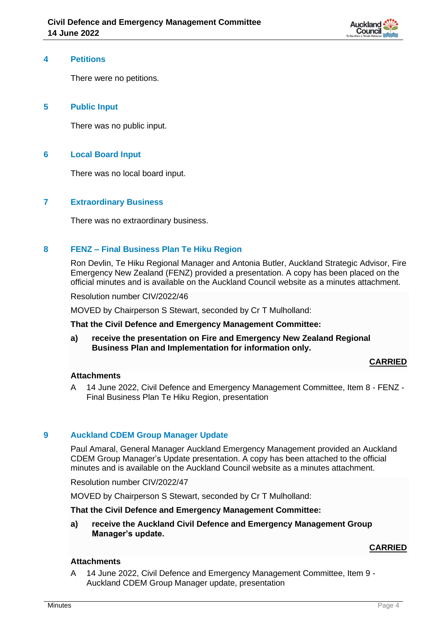

#### **4 Petitions**

There were no petitions.

## **5 Public Input**

There was no public input.

# **6 Local Board Input**

There was no local board input.

## **7 Extraordinary Business**

There was no extraordinary business.

## **8 FENZ – Final Business Plan Te Hiku Region**

Ron Devlin, Te Hiku Regional Manager and Antonia Butler, Auckland Strategic Advisor, Fire Emergency New Zealand (FENZ) provided a presentation. A copy has been placed on the official minutes and is available on the Auckland Council website as a minutes attachment.

Resolution number CIV/2022/46

MOVED by Chairperson S Stewart, seconded by Cr T Mulholland:

#### **That the Civil Defence and Emergency Management Committee:**

**a) receive the presentation on Fire and Emergency New Zealand Regional Business Plan and Implementation for information only.**

#### **CARRIED**

#### **Attachments**

A 14 June 2022, Civil Defence and Emergency Management Committee, Item 8 - FENZ - Final Business Plan Te Hiku Region, presentation

#### **9 Auckland CDEM Group Manager Update**

Paul Amaral, General Manager Auckland Emergency Management provided an Auckland CDEM Group Manager's Update presentation. A copy has been attached to the official minutes and is available on the Auckland Council website as a minutes attachment.

Resolution number CIV/2022/47

MOVED by Chairperson S Stewart, seconded by Cr T Mulholland:

# **That the Civil Defence and Emergency Management Committee:**

**a) receive the Auckland Civil Defence and Emergency Management Group Manager's update.**

## **CARRIED**

#### **Attachments**

A 14 June 2022, Civil Defence and Emergency Management Committee, Item 9 - Auckland CDEM Group Manager update, presentation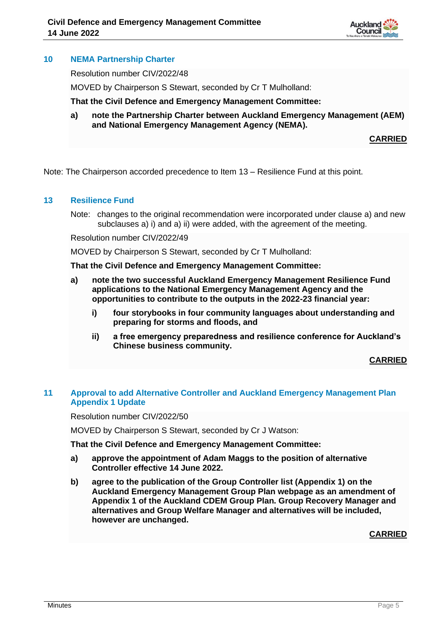

# **10 NEMA Partnership Charter**

Resolution number CIV/2022/48

MOVED by Chairperson S Stewart, seconded by Cr T Mulholland:

**That the Civil Defence and Emergency Management Committee:**

**a) note the Partnership Charter between Auckland Emergency Management (AEM) and National Emergency Management Agency (NEMA).**

**CARRIED**

Note: The Chairperson accorded precedence to Item 13 – Resilience Fund at this point.

#### **13 Resilience Fund**

Note: changes to the original recommendation were incorporated under clause a) and new subclauses a) i) and a) ii) were added, with the agreement of the meeting.

Resolution number CIV/2022/49

MOVED by Chairperson S Stewart, seconded by Cr T Mulholland:

**That the Civil Defence and Emergency Management Committee:**

- **a) note the two successful Auckland Emergency Management Resilience Fund applications to the National Emergency Management Agency and the opportunities to contribute to the outputs in the 2022-23 financial year:**
	- **i) four storybooks in four community languages about understanding and preparing for storms and floods, and**
	- **ii) a free emergency preparedness and resilience conference for Auckland's Chinese business community.**

**CARRIED**

## **11 Approval to add Alternative Controller and Auckland Emergency Management Plan Appendix 1 Update**

Resolution number CIV/2022/50

MOVED by Chairperson S Stewart, seconded by Cr J Watson:

**That the Civil Defence and Emergency Management Committee:**

- **a) approve the appointment of Adam Maggs to the position of alternative Controller effective 14 June 2022.**
- **b) agree to the publication of the Group Controller list (Appendix 1) on the Auckland Emergency Management Group Plan webpage as an amendment of Appendix 1 of the Auckland CDEM Group Plan. Group Recovery Manager and alternatives and Group Welfare Manager and alternatives will be included, however are unchanged.**

**CARRIED**